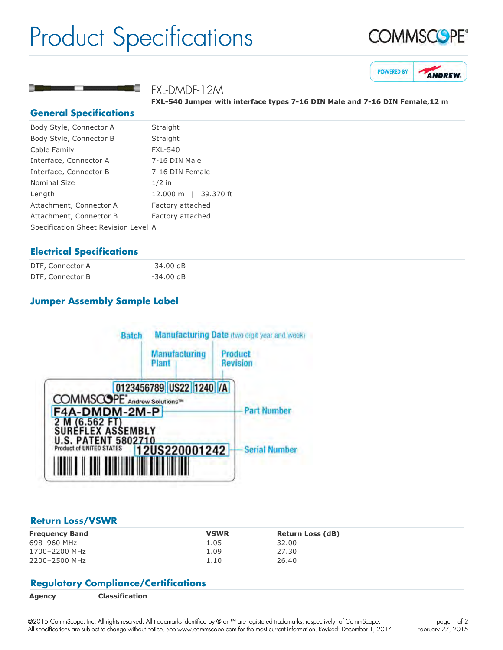# Product Specifications





#### FXL-DMDF-12M

**FXL540 Jumper with interface types 716 DIN Male and 716 DIN Female,12 m**

#### **General Specifications**

| Body Style, Connector A              | Straight             |  |
|--------------------------------------|----------------------|--|
| Body Style, Connector B              | Straight             |  |
| Cable Family                         | <b>FXL-540</b>       |  |
| Interface, Connector A               | 7-16 DIN Male        |  |
| Interface, Connector B               | 7-16 DIN Female      |  |
| Nominal Size                         | $1/2$ in             |  |
| Length                               | 12.000 m   39.370 ft |  |
| Attachment, Connector A              | Factory attached     |  |
| Attachment, Connector B              | Factory attached     |  |
| Specification Sheet Revision Level A |                      |  |
|                                      |                      |  |

### **Electrical Specifications**

| DTF, Connector A | $-34.00$ dB |
|------------------|-------------|
| DTF, Connector B | $-34.00$ dB |

## **Jumper Assembly Sample Label**



#### **Return Loss/VSWR**

| <b>Frequency Band</b> | <b>VSWR</b> | <b>Return Loss (dB)</b> |
|-----------------------|-------------|-------------------------|
| 698-960 MHz           | 1.05        | 32.00                   |
| 1700-2200 MHz         | 1.09        | 27.30                   |
| 2200-2500 MHz         | 1.10        | 26.40                   |

### **Regulatory Compliance/Certifications**

©2015 CommScope, Inc. All rights reserved. All trademarks identified by ® or ™ are registered trademarks, respectively, of CommScope. All specifications are subject to change without notice. See www.commscope.com for the most current information. Revised: December 1, 2014